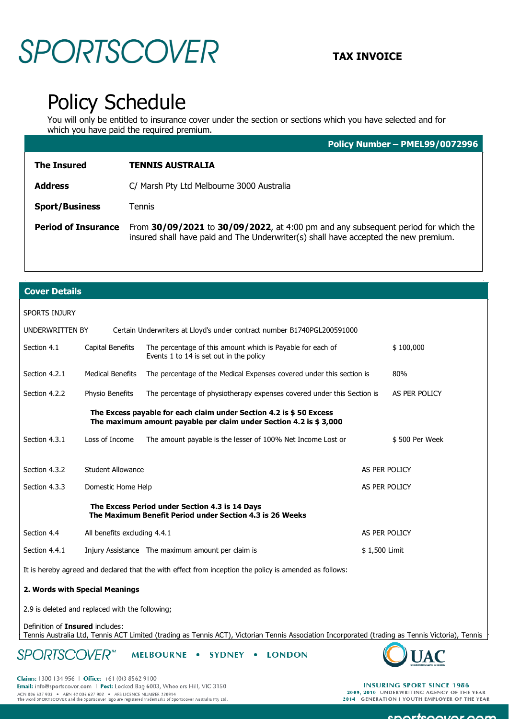## **SPORTSCOVER** TAX INVOICE

### Policy Schedule

You will only be entitled to insurance cover under the section or sections which you have selected and for which you have paid the required premium.

**Policy Number – PMEL99/0072996** 

| <b>The Insured</b>         | <b>TENNIS AUSTRALIA</b>                                                                                                                                                  |
|----------------------------|--------------------------------------------------------------------------------------------------------------------------------------------------------------------------|
| <b>Address</b>             | C/ Marsh Pty Ltd Melbourne 3000 Australia                                                                                                                                |
| <b>Sport/Business</b>      | Tennis                                                                                                                                                                   |
| <b>Period of Insurance</b> | From 30/09/2021 to 30/09/2022, at 4:00 pm and any subsequent period for which the<br>insured shall have paid and The Underwriter(s) shall have accepted the new premium. |

### **Cover Details**

| <b>SPORTS INJURY</b>                                                                                                                    |                                                   |                                                                                                       |               |                |  |  |
|-----------------------------------------------------------------------------------------------------------------------------------------|---------------------------------------------------|-------------------------------------------------------------------------------------------------------|---------------|----------------|--|--|
| UNDERWRITTEN BY                                                                                                                         |                                                   | Certain Underwriters at Lloyd's under contract number B1740PGL200591000                               |               |                |  |  |
| Section 4.1                                                                                                                             | Capital Benefits                                  | The percentage of this amount which is Payable for each of<br>Events 1 to 14 is set out in the policy |               | \$100,000      |  |  |
| Section 4.2.1                                                                                                                           | <b>Medical Benefits</b>                           | The percentage of the Medical Expenses covered under this section is                                  |               | 80%            |  |  |
| Section 4.2.2                                                                                                                           | Physio Benefits                                   | The percentage of physiotherapy expenses covered under this Section is                                |               | AS PER POLICY  |  |  |
| The Excess payable for each claim under Section 4.2 is \$50 Excess<br>The maximum amount payable per claim under Section 4.2 is \$3,000 |                                                   |                                                                                                       |               |                |  |  |
| Section 4.3.1                                                                                                                           | Loss of Income                                    | The amount payable is the lesser of 100% Net Income Lost or                                           |               | \$500 Per Week |  |  |
|                                                                                                                                         |                                                   |                                                                                                       |               |                |  |  |
| Section 4.3.2                                                                                                                           | Student Allowance                                 |                                                                                                       | AS PER POLICY |                |  |  |
| Section 4.3.3                                                                                                                           | Domestic Home Help                                |                                                                                                       | AS PER POLICY |                |  |  |
| The Excess Period under Section 4.3 is 14 Days<br>The Maximum Benefit Period under Section 4.3 is 26 Weeks                              |                                                   |                                                                                                       |               |                |  |  |
| Section 4.4                                                                                                                             | All benefits excluding 4.4.1                      |                                                                                                       | AS PER POLICY |                |  |  |
| Section 4.4.1                                                                                                                           | Injury Assistance The maximum amount per claim is |                                                                                                       | \$1,500 Limit |                |  |  |
| It is hereby agreed and declared that the with effect from inception the policy is amended as follows:                                  |                                                   |                                                                                                       |               |                |  |  |
| a Missile situations and Missile                                                                                                        |                                                   |                                                                                                       |               |                |  |  |

**2. Words with Special Meanings**

2.9 is deleted and replaced with the following;

Definition of **Insured** includes:

Tennis Australia Ltd, Tennis ACT Limited (trading as Tennis ACT), Victorian Tennis Association Incorporated (trading as Tennis Victoria), Tennis

**SPORTSCOVER**<sup>\*\*</sup> MELBOURNE . SYDNEY . LONDON



Claims: 1300 134 956 | Office: +61 (0)3 8562 9100 Email: info@sportscover.com | Post: Locked Bag 6003, Wheelers Hill, VIC 3150 ACN 006 637 903 • ABN 43 006 637 903 • AFS LICENCE NUMBER 230914<br>The word SPORTSCOVER and the Sportscover logo are registered trademarks of Sportscover Australia Pty Ltd.

**INSURING SPORT SINCE 1986** 2009, 2010 UNDERWRITING AGENCY OF THE YEAR 2014 GENERATION I YOUTH EMPLOYER OF THE YEAR

 $\ddot{o}$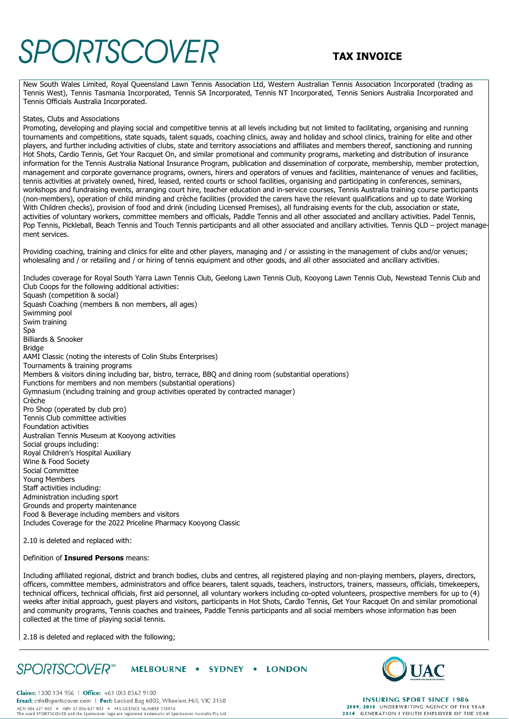## **SPORTSCOVER** TAX INVOICE

New South Wales Limited, Royal Queensland Lawn Tennis Association Ltd, Western Australian Tennis Association Incorporated (trading as Tennis West), Tennis Tasmania Incorporated, Tennis SA Incorporated, Tennis NT Incorporated, Tennis Seniors Australia Incorporated and Tennis Officials Australia Incorporated.

#### States, Clubs and Associations

Promoting, developing and playing social and competitive tennis at all levels including but not limited to facilitating, organising and running tournaments and competitions, state squads, talent squads, coaching clinics, away and holiday and school clinics, training for elite and other players, and further including activities of clubs, state and territory associations and affiliates and members thereof, sanctioning and running Hot Shots, Cardio Tennis, Get Your Racquet On, and similar promotional and community programs, marketing and distribution of insurance information for the Tennis Australia National Insurance Program, publication and dissemination of corporate, membership, member protection, management and corporate governance programs, owners, hirers and operators of venues and facilities, maintenance of venues and facilities, tennis activities at privately owned, hired, leased, rented courts or school facilities, organising and participating in conferences, seminars, workshops and fundraising events, arranging court hire, teacher education and in-service courses, Tennis Australia training course participants (non-members), operation of child minding and crèche facilities (provided the carers have the relevant qualifications and up to date Working With Children checks), provision of food and drink (including Licensed Premises), all fundraising events for the club, association or state, activities of voluntary workers, committee members and officials, Paddle Tennis and all other associated and ancillary activities. Padel Tennis, Pop Tennis, Pickleball, Beach Tennis and Touch Tennis participants and all other associated and ancillary activities. Tennis QLD – project management services.

Providing coaching, training and clinics for elite and other players, managing and / or assisting in the management of clubs and/or venues; wholesaling and / or retailing and / or hiring of tennis equipment and other goods, and all other associated and ancillary activities.

Includes coverage for Royal South Yarra Lawn Tennis Club, Geelong Lawn Tennis Club, Kooyong Lawn Tennis Club, Newstead Tennis Club and Club Coops for the following additional activities: Squash (competition & social) Squash Coaching (members & non members, all ages) Swimming pool Swim training Spa Billiards & Snooker Bridge

AAMI Classic (noting the interests of Colin Stubs Enterprises) Tournaments & training programs Members & visitors dining including bar, bistro, terrace, BBQ and dining room (substantial operations) Functions for members and non members (substantial operations) Gymnasium (including training and group activities operated by contracted manager) Crèche Pro Shop (operated by club pro) Tennis Club committee activities Foundation activities Australian Tennis Museum at Kooyong activities Social groups including: Royal Children's Hospital Auxiliary Wine & Food Society Social Committee Young Members Staff activities including: Administration including sport Grounds and property maintenance Food & Beverage including members and visitors Includes Coverage for the 2022 Priceline Pharmacy Kooyong Classic

2.10 is deleted and replaced with:

#### Definition of **Insured Persons** means:

Including affiliated regional, district and branch bodies, clubs and centres, all registered playing and non-playing members, players, directors, officers, committee members, administrators and office bearers, talent squads, teachers, instructors, trainers, masseurs, officials, timekeepers, technical officers, technical officials, first aid personnel, all voluntary workers including co-opted volunteers, prospective members for up to (4) weeks after initial approach, guest players and visitors, participants in Hot Shots, Cardio Tennis, Get Your Racquet On and similar promotional and community programs, Tennis coaches and trainees, Paddle Tennis participants and all social members whose information has been collected at the time of playing social tennis.

2.18 is deleted and replaced with the following;

SPORTSCOVER<sup>®</sup> MELBOURNE • SYDNEY • LONDON



Claims: 1300 134 956 | Office: +61 (0)3 8562 9100 Email: info@sportscover.com | Post: Locked Bag 6003, Wheelers Hill, VIC 3150 ACN 006 637 903 • ABN 43 006 637 903 • AFS LICENCE NUMBER 230914<br>The word SPORTSCOVER and the Sportscover logo are registered trademarks of Sportscover Australia Pty Ltd.

**INSURING SPORT SINCE 1986** 2009, 2010 UNDERWRITING AGENCY OF THE YEAR 2014 GENERATION I YOUTH EMPLOYER OF THE YEAR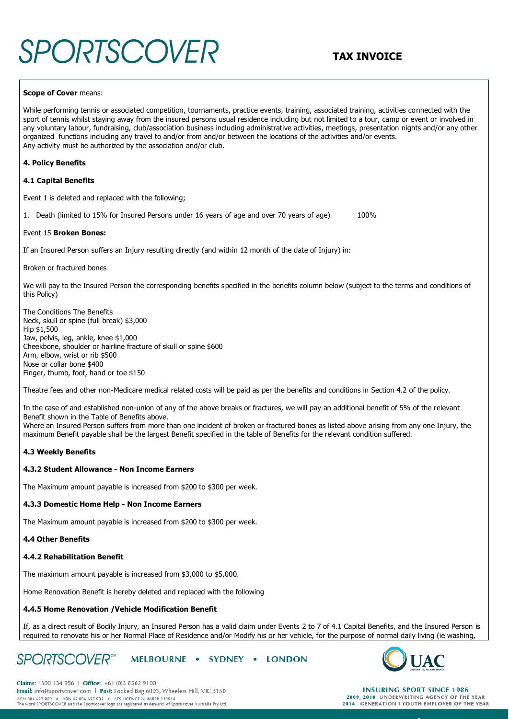# **SPORTSCOVER** TAX INVOICE

#### **Scope of Cover** means:

While performing tennis or associated competition, tournaments, practice events, training, associated training, activities connected with the sport of tennis whilst staying away from the insured persons usual residence including but not limited to a tour, camp or event or involved in any voluntary labour, fundraising, club/association business including administrative activities, meetings, presentation nights and/or any other organized functions including any travel to and/or from and/or between the locations of the activities and/or events. Any activity must be authorized by the association and/or club.

#### **4. Policy Benefits**

#### **4.1 Capital Benefits**

Event 1 is deleted and replaced with the following;

1. Death (limited to 15% for Insured Persons under 16 years of age and over 70 years of age) 100%

#### Event 15 **Broken Bones:**

If an Insured Person suffers an Injury resulting directly (and within 12 month of the date of Injury) in:

#### Broken or fractured bones

We will pay to the Insured Person the corresponding benefits specified in the benefits column below (subject to the terms and conditions of this Policy)

The Conditions The Benefits Neck, skull or spine (full break) \$3,000 Hip \$1,500 Jaw, pelvis, leg, ankle, knee \$1,000 Cheekbone, shoulder or hairline fracture of skull or spine \$600 Arm, elbow, wrist or rib \$500 Nose or collar bone \$400 Finger, thumb, foot, hand or toe \$150

Theatre fees and other non-Medicare medical related costs will be paid as per the benefits and conditions in Section 4.2 of the policy.

In the case of and established non-union of any of the above breaks or fractures, we will pay an additional benefit of 5% of the relevant Benefit shown in the Table of Benefits above. Where an Insured Person suffers from more than one incident of broken or fractured bones as listed above arising from any one Injury, the maximum Benefit payable shall be the largest Benefit specified in the table of Benefits for the relevant condition suffered.

#### **4.3 Weekly Benefits**

#### **4.3.2 Student Allowance - Non Income Earners**

The Maximum amount payable is increased from \$200 to \$300 per week.

#### **4.3.3 Domestic Home Help - Non Income Earners**

The Maximum amount payable is increased from \$200 to \$300 per week.

#### **4.4 Other Benefits**

### **4.4.2 Rehabilitation Benefit**

The maximum amount payable is increased from \$3,000 to \$5,000.

Home Renovation Benefit is hereby deleted and replaced with the following

#### **4.4.5 Home Renovation /Vehicle Modification Benefit**

If, as a direct result of Bodily Injury, an Insured Person has a valid claim under Events 2 to 7 of 4.1 Capital Benefits, and the Insured Person is required to renovate his or her Normal Place of Residence and/or Modify his or her vehicle, for the purpose of normal daily living (ie washing,

#### **SPORTSCOVER**<sup>™</sup> MELBOURNE . SYDNEY . LONDON



**INSURING SPORT SINCE 1986** 2009, 2010 UNDERWRITING AGENCY OF THE YEAR 2014 GENERATION I YOUTH EMPLOYER OF THE YEAR